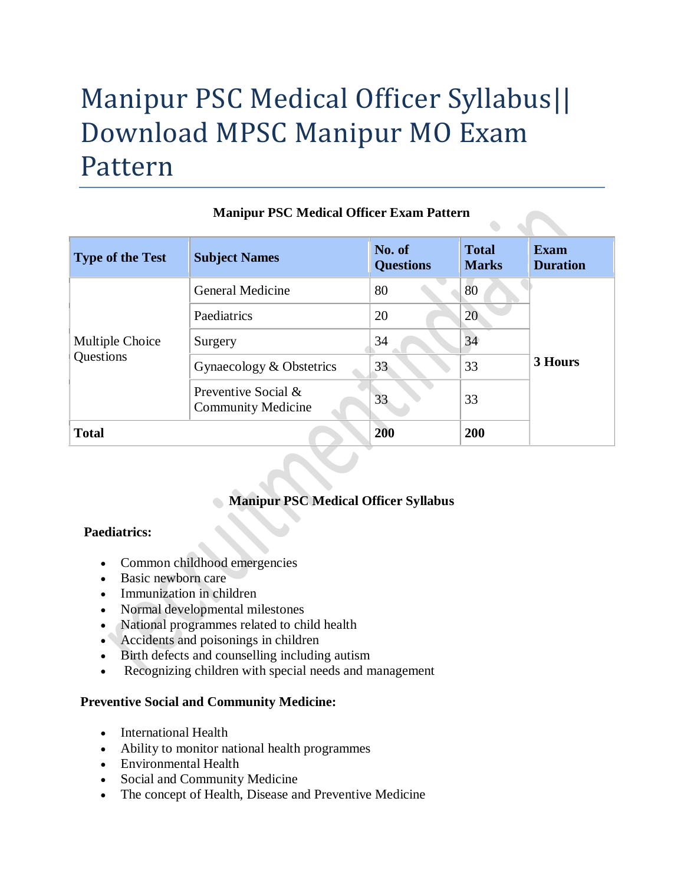# Manipur PSC Medical Officer Syllabus|| Download MPSC Manipur MO Exam Pattern

| <b>Type of the Test</b>      | <b>Subject Names</b>                             | No. of<br><b>Questions</b> | <b>Total</b><br><b>Marks</b> | <b>Exam</b><br><b>Duration</b> |
|------------------------------|--------------------------------------------------|----------------------------|------------------------------|--------------------------------|
| Multiple Choice<br>Questions | <b>General Medicine</b>                          | 80                         | 80                           | 3 Hours                        |
|                              | Paediatrics                                      | 20                         | 20                           |                                |
|                              | Surgery                                          | 34                         | 34                           |                                |
|                              | Gynaecology & Obstetrics                         | 33                         | 33                           |                                |
|                              | Preventive Social &<br><b>Community Medicine</b> | 33                         | 33                           |                                |
| <b>Total</b>                 |                                                  | 200                        | 200                          |                                |

## **Manipur PSC Medical Officer Exam Pattern**

# **Manipur PSC Medical Officer Syllabus**

## **Paediatrics:**

- Common childhood emergencies
- Basic newborn care
- Immunization in children
- Normal developmental milestones
- National programmes related to child health
- Accidents and poisonings in children
- Birth defects and counselling including autism
- Recognizing children with special needs and management

#### **Preventive Social and Community Medicine:**

- International Health
- Ability to monitor national health programmes
- Environmental Health
- Social and Community Medicine
- The concept of Health, Disease and Preventive Medicine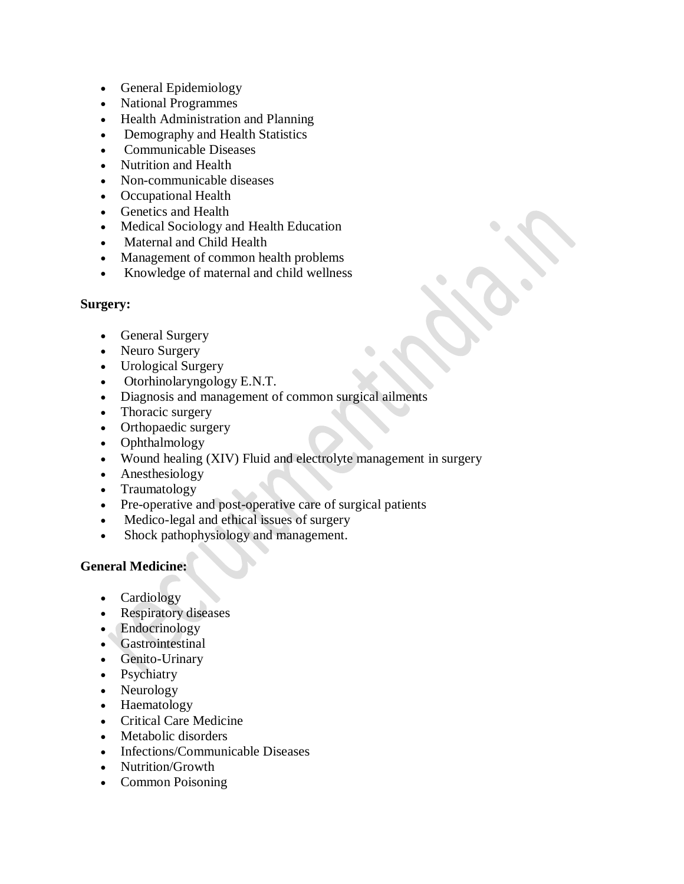- General Epidemiology
- National Programmes
- Health Administration and Planning
- Demography and Health Statistics
- Communicable Diseases
- Nutrition and Health
- Non-communicable diseases
- Occupational Health
- Genetics and Health
- Medical Sociology and Health Education
- Maternal and Child Health
- Management of common health problems
- Knowledge of maternal and child wellness

#### **Surgery:**

- General Surgery
- Neuro Surgery
- Urological Surgery
- Otorhinolaryngology E.N.T.
- Diagnosis and management of common surgical ailments
- Thoracic surgery
- Orthopaedic surgery
- Ophthalmology
- Wound healing (XIV) Fluid and electrolyte management in surgery
- Anesthesiology
- Traumatology
- Pre-operative and post-operative care of surgical patients
- Medico-legal and ethical issues of surgery
- Shock pathophysiology and management.

#### **General Medicine:**

- Cardiology
- Respiratory diseases
- Endocrinology
- Gastrointestinal
- Genito-Urinary
- Psychiatry
- Neurology
- Haematology
- Critical Care Medicine
- Metabolic disorders
- Infections/Communicable Diseases
- Nutrition/Growth
- Common Poisoning